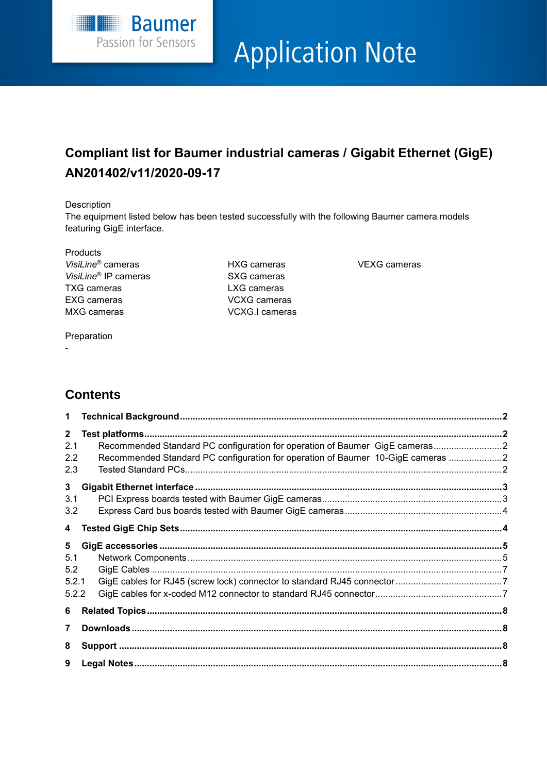

# **Application Note**

# **Compliant list for Baumer industrial cameras / Gigabit Ethernet (GigE) AN201402/v11/2020-09-17**

#### Description

The equipment listed below has been tested successfully with the following Baumer camera models featuring GigE interface.

**Products** *VisiLine*® cameras HXG cameras VEXG cameras *VisiLine*<sup>®</sup> IP cameras SXG cameras TXG cameras LXG cameras EXG cameras VCXG cameras MXG cameras **VCXG.I cameras** 

## Preparation

-

# **Contents**

| 1                                              |                                                                                                                                                                |  |
|------------------------------------------------|----------------------------------------------------------------------------------------------------------------------------------------------------------------|--|
| $2^{\circ}$<br>2.1<br>2.2<br>2.3               | Recommended Standard PC configuration for operation of Baumer GigE cameras2<br>Recommended Standard PC configuration for operation of Baumer 10-GigE cameras 2 |  |
| 3 <sup>1</sup><br>3.1<br>3.2                   |                                                                                                                                                                |  |
| $\overline{\mathbf{4}}$                        |                                                                                                                                                                |  |
| 5 <sup>5</sup><br>5.1<br>5.2<br>5.2.1<br>5.2.2 |                                                                                                                                                                |  |
| 6<br>$\overline{7}$                            |                                                                                                                                                                |  |
| 8<br>9                                         |                                                                                                                                                                |  |
|                                                |                                                                                                                                                                |  |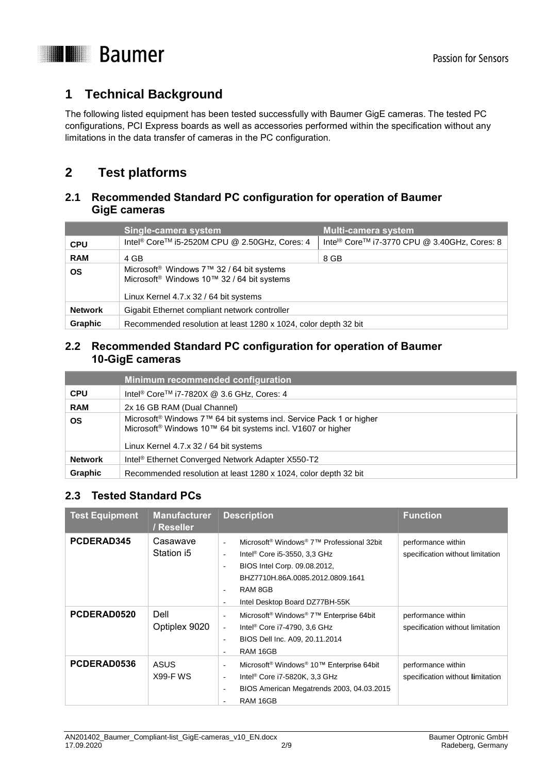

# <span id="page-1-0"></span>**1 Technical Background**

The following listed equipment has been tested successfully with Baumer GigE cameras. The tested PC configurations, PCI Express boards as well as accessories performed within the specification without any limitations in the data transfer of cameras in the PC configuration.

# <span id="page-1-1"></span>**2 Test platforms**

### <span id="page-1-2"></span>**2.1 Recommended Standard PC configuration for operation of Baumer GigE cameras**

|                | Single-camera system                                                                                                                                      | Multi-camera system                                     |  |  |
|----------------|-----------------------------------------------------------------------------------------------------------------------------------------------------------|---------------------------------------------------------|--|--|
| <b>CPU</b>     | Intel <sup>®</sup> Core™ i5-2520M CPU @ 2.50GHz, Cores: 4                                                                                                 | Inte <sup>®</sup> Core™ i7-3770 CPU @ 3.40GHz, Cores: 8 |  |  |
| <b>RAM</b>     | 4 GB                                                                                                                                                      | 8 GB                                                    |  |  |
| <b>OS</b>      | Microsoft <sup>®</sup> Windows 7™ 32 / 64 bit systems<br>Microsoft <sup>®</sup> Windows 10™ 32 / 64 bit systems<br>Linux Kernel 4.7.x 32 / 64 bit systems |                                                         |  |  |
| <b>Network</b> | Gigabit Ethernet compliant network controller                                                                                                             |                                                         |  |  |
| <b>Graphic</b> | Recommended resolution at least 1280 x 1024, color depth 32 bit                                                                                           |                                                         |  |  |

### <span id="page-1-3"></span>**2.2 Recommended Standard PC configuration for operation of Baumer 10-GigE cameras**

|                | Minimum recommended configuration                                                                                                                                                                                |
|----------------|------------------------------------------------------------------------------------------------------------------------------------------------------------------------------------------------------------------|
| <b>CPU</b>     | Intel <sup>®</sup> Core <sup>™</sup> i7-7820X @ 3.6 GHz, Cores: 4                                                                                                                                                |
| <b>RAM</b>     | 2x 16 GB RAM (Dual Channel)                                                                                                                                                                                      |
| <b>OS</b>      | Microsoft <sup>®</sup> Windows 7 <sup>™</sup> 64 bit systems incl. Service Pack 1 or higher<br>Microsoft <sup>®</sup> Windows 10™ 64 bit systems incl. V1607 or higher<br>Linux Kernel 4.7.x 32 / 64 bit systems |
| <b>Network</b> | Intel <sup>®</sup> Ethernet Converged Network Adapter X550-T2                                                                                                                                                    |
| <b>Graphic</b> | Recommended resolution at least 1280 x 1024, color depth 32 bit                                                                                                                                                  |

## <span id="page-1-4"></span>**2.3 Tested Standard PCs**

| <b>Test Equipment</b> | <b>Manufacturer</b><br>/ Reseller | <b>Description</b>                                                                                                                                                                                                                                                                                                                   | <b>Function</b>                                        |
|-----------------------|-----------------------------------|--------------------------------------------------------------------------------------------------------------------------------------------------------------------------------------------------------------------------------------------------------------------------------------------------------------------------------------|--------------------------------------------------------|
| PCDERAD345            | Casawave<br>Station i5            | Microsoft <sup>®</sup> Windows <sup>®</sup> 7 <sup>™</sup> Professional 32bit<br>÷.<br>Intel <sup>®</sup> Core i5-3550, 3,3 GHz<br>$\overline{\phantom{a}}$<br>BIOS Intel Corp. 09.08.2012,<br>$\overline{a}$<br>BHZ7710H.86A.0085.2012.0809.1641<br>RAM 8GB<br>$\sim$<br>Intel Desktop Board DZ77BH-55K<br>$\overline{\phantom{a}}$ | performance within<br>specification without limitation |
| PCDERAD0520           | Dell<br>Optiplex 9020             | Microsoft <sup>®</sup> Windows <sup>®</sup> 7 <sup>™</sup> Enterprise 64bit<br>Intel <sup>®</sup> Core i7-4790, 3,6 GHz<br>$\blacksquare$<br>BIOS Dell Inc. A09, 20.11.2014<br>RAM 16GB<br>$\overline{\phantom{a}}$                                                                                                                  | performance within<br>specification without limitation |
| PCDERAD0536           | <b>ASUS</b><br><b>X99-F WS</b>    | Microsoft <sup>®</sup> Windows <sup>®</sup> 10™ Enterprise 64bit<br>$\overline{\phantom{a}}$<br>Intel <sup>®</sup> Core i7-5820K, 3,3 GHz<br>$\overline{a}$<br>BIOS American Megatrends 2003, 04.03.2015<br>$\overline{\phantom{a}}$<br>RAM 16GB                                                                                     | performance within<br>specification without limitation |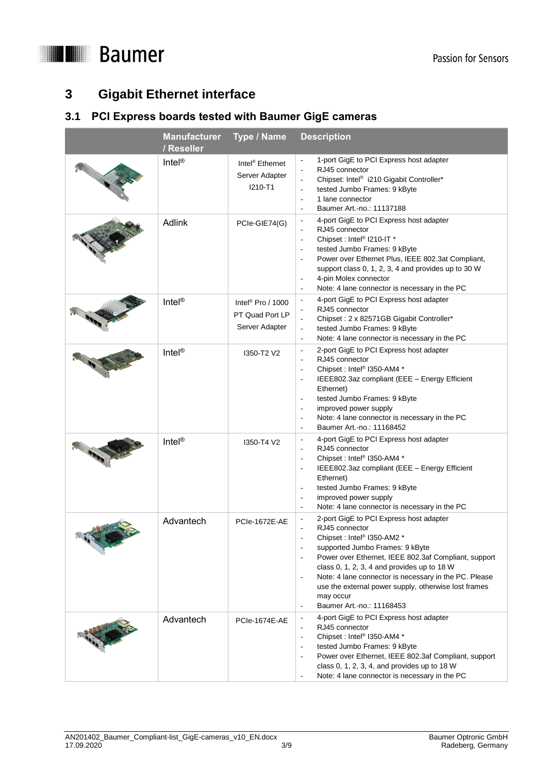



# <span id="page-2-0"></span>**3 Gigabit Ethernet interface**

## <span id="page-2-1"></span>**3.1 PCI Express boards tested with Baumer GigE cameras**

| Manufacturer Type / Name<br>/ Reseller |                                                                    | <b>Description</b>                                                                                                                                                                                                                                                                                                                                                                                                                                                                                                                                   |
|----------------------------------------|--------------------------------------------------------------------|------------------------------------------------------------------------------------------------------------------------------------------------------------------------------------------------------------------------------------------------------------------------------------------------------------------------------------------------------------------------------------------------------------------------------------------------------------------------------------------------------------------------------------------------------|
| Intel <sup>®</sup>                     | Intel <sup>®</sup> Ethernet<br>Server Adapter<br>I210-T1           | 1-port GigE to PCI Express host adapter<br>$\Box$<br>RJ45 connector<br>$\overline{\phantom{a}}$<br>Chipset: Intel® i210 Gigabit Controller*<br>$\overline{\phantom{a}}$<br>tested Jumbo Frames: 9 kByte<br>$\overline{\phantom{a}}$<br>1 lane connector<br>$\overline{\phantom{a}}$<br>Baumer Art.-no.: 11137188<br>$\overline{\phantom{a}}$                                                                                                                                                                                                         |
| <b>Adlink</b>                          | PCIe-GIE74(G)                                                      | 4-port GigE to PCI Express host adapter<br>$\overline{\phantom{a}}$<br>RJ45 connector<br>$\overline{\phantom{a}}$<br>Chipset: Intel <sup>®</sup> I210-IT *<br>$\overline{\phantom{a}}$<br>tested Jumbo Frames: 9 kByte<br>$\sim$<br>Power over Ethernet Plus, IEEE 802.3at Compliant,<br>$\overline{\phantom{a}}$<br>support class 0, 1, 2, 3, 4 and provides up to 30 W<br>4-pin Molex connector<br>$\overline{\phantom{a}}$<br>Note: 4 lane connector is necessary in the PC<br>$\overline{\phantom{a}}$                                           |
| Intel®                                 | Intel <sup>®</sup> Pro / 1000<br>PT Quad Port LP<br>Server Adapter | 4-port GigE to PCI Express host adapter<br>$\overline{\phantom{a}}$<br>RJ45 connector<br>$\overline{\phantom{a}}$<br>Chipset: 2 x 82571GB Gigabit Controller*<br>$\overline{\phantom{a}}$<br>tested Jumbo Frames: 9 kByte<br>$\overline{\phantom{a}}$<br>Note: 4 lane connector is necessary in the PC<br>$\overline{\phantom{a}}$                                                                                                                                                                                                                   |
| Intel®                                 | I350-T2 V2                                                         | 2-port GigE to PCI Express host adapter<br>$\overline{\phantom{a}}$<br>RJ45 connector<br>$\overline{\phantom{a}}$<br>Chipset: Intel <sup>®</sup> I350-AM4 *<br>$\overline{\phantom{a}}$<br>IEEE802.3az compliant (EEE - Energy Efficient<br>$\overline{\phantom{a}}$<br>Ethernet)<br>tested Jumbo Frames: 9 kByte<br>$\sim$<br>improved power supply<br>$\overline{\phantom{a}}$<br>Note: 4 lane connector is necessary in the PC<br>$\overline{\phantom{a}}$<br>Baumer Art.-no.: 11168452                                                           |
| Intel <sup>®</sup>                     | 1350-T4 V2                                                         | 4-port GigE to PCI Express host adapter<br>$\overline{\phantom{a}}$<br>RJ45 connector<br>$\overline{\phantom{a}}$<br>Chipset: Intel <sup>®</sup> I350-AM4 *<br>$\sim$<br>IEEE802.3az compliant (EEE - Energy Efficient<br>$\overline{\phantom{a}}$<br>Ethernet)<br>tested Jumbo Frames: 9 kByte<br>$\overline{\phantom{a}}$<br>improved power supply<br>Note: 4 lane connector is necessary in the PC<br>$\overline{\phantom{a}}$                                                                                                                    |
| Advantech                              | <b>PCIe-1672E-AE</b>                                               | 2-port GigE to PCI Express host adapter<br>$\overline{\phantom{a}}$<br>RJ45 connector<br>$\overline{\phantom{a}}$<br>Chipset: Intel <sup>®</sup> I350-AM2 *<br>supported Jumbo Frames: 9 kByte<br>$\overline{\phantom{a}}$<br>Power over Ethernet, IEEE 802.3af Compliant, support<br>class 0, 1, 2, 3, 4 and provides up to 18 W<br>Note: 4 lane connector is necessary in the PC. Please<br>$\overline{\phantom{a}}$<br>use the external power supply, otherwise lost frames<br>may occur<br>Baumer Art.-no.: 11168453<br>$\overline{\phantom{a}}$ |
| Advantech                              | <b>PCIe-1674E-AE</b>                                               | 4-port GigE to PCI Express host adapter<br>$\overline{\phantom{a}}$<br>RJ45 connector<br>$\overline{\phantom{a}}$<br>Chipset: Intel <sup>®</sup> I350-AM4 *<br>$\overline{\phantom{a}}$<br>tested Jumbo Frames: 9 kByte<br>$\overline{\phantom{a}}$<br>Power over Ethernet, IEEE 802.3af Compliant, support<br>$\overline{\phantom{a}}$<br>class 0, 1, 2, 3, 4, and provides up to $18 W$<br>Note: 4 lane connector is necessary in the PC                                                                                                           |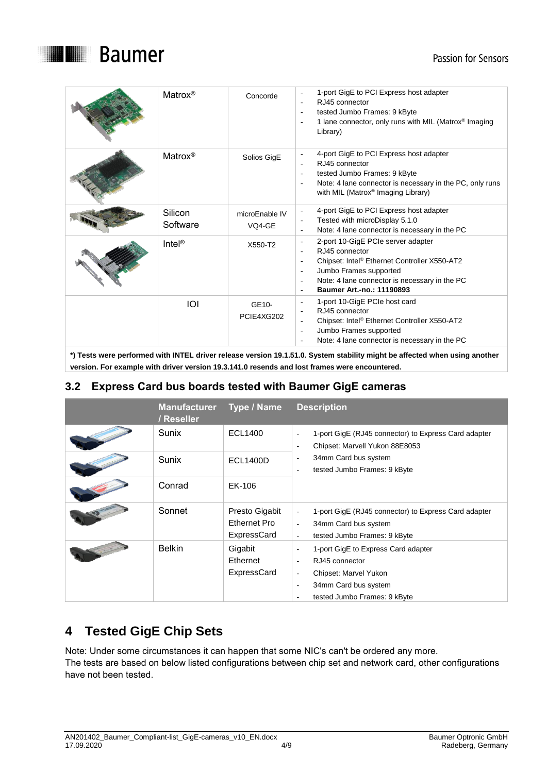



| Matrox <sup>®</sup> | Concorde                              | 1-port GigE to PCI Express host adapter<br>RJ45 connector<br>$\overline{\phantom{a}}$<br>tested Jumbo Frames: 9 kByte<br>1 lane connector, only runs with MIL (Matrox® Imaging<br>$\overline{\phantom{a}}$<br>Library)                                                                                                         |
|---------------------|---------------------------------------|--------------------------------------------------------------------------------------------------------------------------------------------------------------------------------------------------------------------------------------------------------------------------------------------------------------------------------|
| Matrox <sup>®</sup> | Solios GigE                           | 4-port GigE to PCI Express host adapter<br>$\overline{\phantom{a}}$<br>RJ45 connector<br>tested Jumbo Frames: 9 kByte<br>Note: 4 lane connector is necessary in the PC, only runs<br>with MIL (Matrox® Imaging Library)                                                                                                        |
| Silicon<br>Software | microEnable IV<br>VO <sub>4</sub> -GE | 4-port GigE to PCI Express host adapter<br>$\overline{\phantom{a}}$<br>Tested with microDisplay 5.1.0<br>$\overline{\phantom{a}}$<br>Note: 4 lane connector is necessary in the PC                                                                                                                                             |
| Intel®              | X550-T2                               | 2-port 10-GigE PCIe server adapter<br>$\overline{\phantom{a}}$<br>RJ45 connector<br>Chipset: Intel <sup>®</sup> Ethernet Controller X550-AT2<br>$\blacksquare$<br>Jumbo Frames supported<br>$\overline{\phantom{a}}$<br>Note: 4 lane connector is necessary in the PC<br>$\overline{\phantom{a}}$<br>Baumer Art.-no.: 11190893 |
| IOI                 | GE10-<br>PCIE4XG202                   | 1-port 10-GigE PCIe host card<br>$\qquad \qquad -$<br>RJ45 connector<br>Chipset: Intel <sup>®</sup> Ethernet Controller X550-AT2<br>$\overline{\phantom{a}}$<br>Jumbo Frames supported<br>$\overline{\phantom{a}}$<br>Note: 4 lane connector is necessary in the PC<br>$\overline{\phantom{a}}$                                |

**\*) Tests were performed with INTEL driver release version 19.1.51.0. System stability might be affected when using another version. For example with driver version 19.3.141.0 resends and lost frames were encountered.**

## <span id="page-3-0"></span>**3.2 Express Card bus boards tested with Baumer GigE cameras**

| <b>Manufacturer</b><br>/ Reseller | Type / Name                                   | <b>Description</b>                                                                                                                                                                 |
|-----------------------------------|-----------------------------------------------|------------------------------------------------------------------------------------------------------------------------------------------------------------------------------------|
| Sunix                             | <b>ECL1400</b>                                | 1-port GigE (RJ45 connector) to Express Card adapter<br>L,<br>Chipset: Marvell Yukon 88E8053<br>٠                                                                                  |
| Sunix                             | <b>ECL1400D</b>                               | 34mm Card bus system<br>٠<br>tested Jumbo Frames: 9 kByte<br>÷,                                                                                                                    |
| Conrad                            | EK-106                                        |                                                                                                                                                                                    |
| Sonnet                            | Presto Gigabit<br>Ethernet Pro<br>ExpressCard | 1-port GigE (RJ45 connector) to Express Card adapter<br>$\overline{a}$<br>34mm Card bus system<br>٠<br>tested Jumbo Frames: 9 kByte<br>$\overline{\phantom{a}}$                    |
| <b>Belkin</b>                     | Gigabit<br>Ethernet<br>ExpressCard            | 1-port GigE to Express Card adapter<br>÷,<br>RJ45 connector<br>٠<br>Chipset: Marvel Yukon<br>$\overline{\phantom{a}}$<br>34mm Card bus system<br>٠<br>tested Jumbo Frames: 9 kByte |

# <span id="page-3-1"></span>**4 Tested GigE Chip Sets**

Note: Under some circumstances it can happen that some NIC's can't be ordered any more. The tests are based on below listed configurations between chip set and network card, other configurations have not been tested.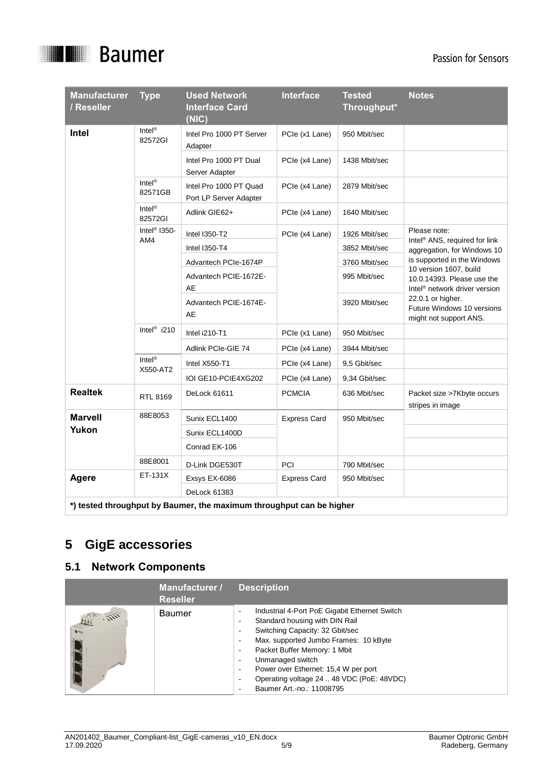

| <b>Manufacturer</b><br>/ Reseller                                    | <b>Type</b>                    | <b>Used Network</b><br><b>Interface Card</b><br>(NIC) | <b>Interface</b>    | <b>Tested</b><br>Throughput* | <b>Notes</b>                                                              |  |
|----------------------------------------------------------------------|--------------------------------|-------------------------------------------------------|---------------------|------------------------------|---------------------------------------------------------------------------|--|
| Intel                                                                | Intel <sup>®</sup><br>82572GI  | Intel Pro 1000 PT Server<br>Adapter                   | PCle (x1 Lane)      | 950 Mbit/sec                 |                                                                           |  |
|                                                                      |                                | Intel Pro 1000 PT Dual<br>Server Adapter              | PCIe (x4 Lane)      | 1438 Mbit/sec                |                                                                           |  |
|                                                                      | Intel <sup>®</sup><br>82571GB  | Intel Pro 1000 PT Quad<br>Port LP Server Adapter      | PCIe (x4 Lane)      | 2879 Mbit/sec                |                                                                           |  |
|                                                                      | $Intel^{\circledR}$<br>82572GI | Adlink GIE62+                                         | PCIe (x4 Lane)      | 1640 Mbit/sec                |                                                                           |  |
|                                                                      | Intel <sup>®</sup> I350-       | <b>Intel I350-T2</b>                                  | PCIe (x4 Lane)      | 1926 Mbit/sec                | Please note:                                                              |  |
|                                                                      | AM4                            | Intel I350-T4                                         |                     | 3852 Mbit/sec                | Intel <sup>®</sup> ANS, required for link<br>aggregation, for Windows 10  |  |
|                                                                      |                                | Advantech PCIe-1674P                                  |                     | 3760 Mbit/sec                | is supported in the Windows<br>10 version 1607, build                     |  |
|                                                                      |                                | Advantech PCIE-1672E-<br>AE                           |                     | 995 Mbit/sec                 | 10.0.14393. Please use the<br>Intel <sup>®</sup> network driver version   |  |
|                                                                      |                                | Advantech PCIE-1674E-<br>AE                           |                     | 3920 Mbit/sec                | 22.0.1 or higher.<br>Future Windows 10 versions<br>might not support ANS. |  |
|                                                                      | Intel <sup>®</sup> i210        | Intel i210-T1                                         | PCIe (x1 Lane)      | 950 Mbit/sec                 |                                                                           |  |
|                                                                      |                                | Adlink PCIe-GIE 74                                    | PCIe (x4 Lane)      | 3944 Mbit/sec                |                                                                           |  |
|                                                                      | Intel <sup>®</sup><br>X550-AT2 | Intel X550-T1                                         | PCIe (x4 Lane)      | 9.5 Gbit/sec                 |                                                                           |  |
|                                                                      |                                | IOI GE10-PCIE4XG202                                   | PCIe (x4 Lane)      | 9,34 Gbit/sec                |                                                                           |  |
| <b>Realtek</b>                                                       | RTL 8169                       | DeLock 61611                                          | <b>PCMCIA</b>       | 636 Mbit/sec                 | Packet size >7Kbyte occurs<br>stripes in image                            |  |
| <b>Marvell</b>                                                       | 88E8053                        | Sunix ECL1400                                         | <b>Express Card</b> | 950 Mbit/sec                 |                                                                           |  |
| Yukon                                                                |                                | Sunix ECL1400D                                        |                     |                              |                                                                           |  |
|                                                                      |                                | Conrad EK-106                                         |                     |                              |                                                                           |  |
|                                                                      | 88E8001                        | D-Link DGE530T                                        | PCI                 | 790 Mbit/sec                 |                                                                           |  |
| <b>Agere</b>                                                         | $ET-131X$                      | Exsys EX-6086<br>DeLock 61383                         | <b>Express Card</b> | 950 Mbit/sec                 |                                                                           |  |
| *) tested throughput by Baumer, the maximum throughput can be higher |                                |                                                       |                     |                              |                                                                           |  |

# <span id="page-4-0"></span>**5 GigE accessories**

# <span id="page-4-1"></span>**5.1 Network Components**

|                                                  | Manufacturer /<br><b>Reseller</b> | <b>Description</b>                                                                                                                                                                                                                                                                                                                                                                                                                                                                                                  |
|--------------------------------------------------|-----------------------------------|---------------------------------------------------------------------------------------------------------------------------------------------------------------------------------------------------------------------------------------------------------------------------------------------------------------------------------------------------------------------------------------------------------------------------------------------------------------------------------------------------------------------|
| File.<br>$\sqrt{\frac{1}{\sqrt{1-\frac{1}{n}}}}$ | <b>Baumer</b>                     | Industrial 4-Port PoE Gigabit Ethernet Switch<br>٠<br>Standard housing with DIN Rail<br>$\overline{\phantom{a}}$<br>Switching Capacity: 32 Gbit/sec<br>$\overline{\phantom{a}}$<br>Max. supported Jumbo Frames: 10 kByte<br>$\overline{\phantom{a}}$<br>Packet Buffer Memory: 1 Mbit<br>$\overline{\phantom{a}}$<br>Unmanaged switch<br>٠<br>Power over Ethernet: 15,4 W per port<br>$\overline{\phantom{a}}$<br>Operating voltage 24  48 VDC (PoE: 48VDC)<br>$\overline{\phantom{a}}$<br>Baumer Art.-no.: 11008795 |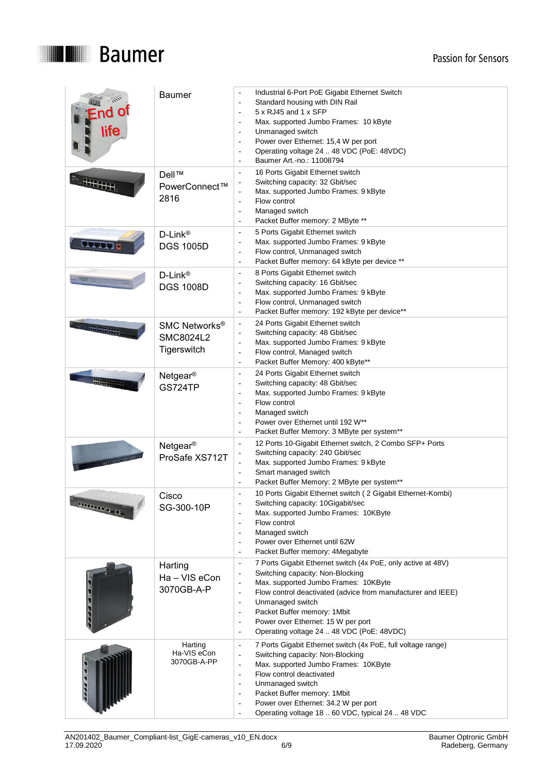

| life                       | <b>Baumer</b>                                         | Industrial 6-Port PoE Gigabit Ethernet Switch<br>Standard housing with DIN Rail<br>$\overline{a}$<br>5 x RJ45 and 1 x SFP<br>$\overline{a}$<br>Max. supported Jumbo Frames: 10 kByte<br>Unmanaged switch<br>$\overline{\phantom{a}}$<br>Power over Ethernet: 15,4 W per port<br>$\overline{\phantom{a}}$<br>Operating voltage 24  48 VDC (PoE: 48VDC)<br>$\overline{\phantom{a}}$<br>Baumer Art.-no.: 11008794                                                                                                                                             |  |
|----------------------------|-------------------------------------------------------|------------------------------------------------------------------------------------------------------------------------------------------------------------------------------------------------------------------------------------------------------------------------------------------------------------------------------------------------------------------------------------------------------------------------------------------------------------------------------------------------------------------------------------------------------------|--|
| <b>Hillia</b>              | Dell™<br>PowerConnect™<br>2816                        | 16 Ports Gigabit Ethernet switch<br>$\overline{a}$<br>Switching capacity: 32 Gbit/sec<br>Max. supported Jumbo Frames: 9 kByte<br>$\overline{a}$<br>Flow control<br>$\sim$<br>Managed switch<br>$\overline{a}$<br>Packet Buffer memory: 2 MByte **                                                                                                                                                                                                                                                                                                          |  |
| <b>BLOOD IS IN</b>         | D-Link®<br><b>DGS 1005D</b>                           | 5 Ports Gigabit Ethernet switch<br>$\overline{a}$<br>Max. supported Jumbo Frames: 9 kByte<br>$\overline{\phantom{a}}$<br>Flow control, Unmanaged switch<br>$\overline{\phantom{a}}$<br>Packet Buffer memory: 64 kByte per device **<br>$\overline{\phantom{a}}$                                                                                                                                                                                                                                                                                            |  |
|                            | $D$ -Link®<br><b>DGS 1008D</b>                        | 8 Ports Gigabit Ethernet switch<br>$\overline{a}$<br>Switching capacity: 16 Gbit/sec<br>$\overline{\phantom{a}}$<br>Max. supported Jumbo Frames: 9 kByte<br>$\overline{\phantom{a}}$<br>Flow control, Unmanaged switch<br>$\overline{\phantom{a}}$<br>Packet Buffer memory: 192 kByte per device**<br>$\overline{\phantom{a}}$                                                                                                                                                                                                                             |  |
|                            | SMC Networks <sup>®</sup><br>SMC8024L2<br>Tigerswitch | 24 Ports Gigabit Ethernet switch<br>$\overline{\phantom{a}}$<br>Switching capacity: 48 Gbit/sec<br>Max. supported Jumbo Frames: 9 kByte<br>Flow control, Managed switch<br>$\overline{\phantom{a}}$<br>Packet Buffer Memory: 400 kByte**<br>$\overline{\phantom{a}}$                                                                                                                                                                                                                                                                                       |  |
| <b>Concert Charles</b>     | Netgear <sup>®</sup><br><b>GS724TP</b>                | 24 Ports Gigabit Ethernet switch<br>$\overline{\phantom{a}}$<br>Switching capacity: 48 Gbit/sec<br>$\overline{\phantom{a}}$<br>Max. supported Jumbo Frames: 9 kByte<br>$\overline{a}$<br>Flow control<br>$\overline{\phantom{a}}$<br>Managed switch<br>$\overline{\phantom{a}}$<br>Power over Ethernet until 192 W <sup>**</sup><br>$\overline{\phantom{a}}$<br>Packet Buffer Memory: 3 MByte per system**<br>$\overline{\phantom{a}}$                                                                                                                     |  |
| <b>Trinidad delay page</b> | Netgear <sup>®</sup><br>ProSafe XS712T                | 12 Ports 10-Gigabit Ethernet switch, 2 Combo SFP+ Ports<br>$\overline{a}$<br>Switching capacity: 240 Gbit/sec<br>Max. supported Jumbo Frames: 9 kByte<br>L,<br>Smart managed switch<br>$\overline{\phantom{a}}$<br>Packet Buffer Memory: 2 MByte per system**                                                                                                                                                                                                                                                                                              |  |
| <b>FORD DESCRIPTION</b>    | Cisco<br>SG-300-10P                                   | 10 Ports Gigabit Ethernet switch (2 Gigabit Ethernet-Kombi)<br>Switching capacity: 10Gigabit/sec<br>Max. supported Jumbo Frames: 10KByte<br>Flow control<br>$\overline{\phantom{a}}$<br>Managed switch<br>$\overline{\phantom{a}}$<br>Power over Ethernet until 62W<br>$\overline{\phantom{a}}$<br>Packet Buffer memory: 4Megabyte                                                                                                                                                                                                                         |  |
|                            | Harting<br>Ha - VIS eCon<br>3070GB-A-P                | 7 Ports Gigabit Ethernet switch (4x PoE, only active at 48V)<br>$\overline{a}$<br>Switching capacity: Non-Blocking<br>$\overline{\phantom{a}}$<br>Max. supported Jumbo Frames: 10KByte<br>$\overline{\phantom{a}}$<br>Flow control deactivated (advice from manufacturer and IEEE)<br>$\overline{a}$<br>Unmanaged switch<br>$\overline{\phantom{a}}$<br>Packet Buffer memory: 1Mbit<br>$\overline{\phantom{a}}$<br>Power over Ethernet: 15 W per port<br>$\overline{\phantom{a}}$<br>Operating voltage 24  48 VDC (PoE: 48VDC)<br>$\overline{\phantom{a}}$ |  |
|                            | Harting<br>Ha-VIS eCon<br>3070GB-A-PP                 | 7 Ports Gigabit Ethernet switch (4x PoE, full voltage range)<br>$\overline{\phantom{a}}$<br>Switching capacity: Non-Blocking<br>$\overline{\phantom{a}}$<br>Max. supported Jumbo Frames: 10KByte<br>$\overline{\phantom{a}}$<br>Flow control deactivated<br>$\overline{\phantom{a}}$<br>Unmanaged switch<br>Packet Buffer memory: 1Mbit<br>$\overline{\phantom{a}}$<br>Power over Ethernet: 34.2 W per port<br>$\overline{\phantom{a}}$<br>Operating voltage 18  60 VDC, typical 24  48 VDC                                                                |  |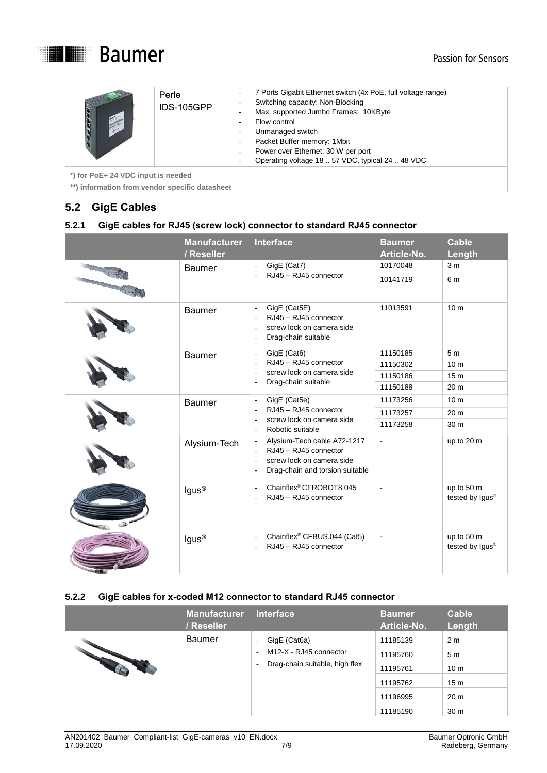

| Perle<br>IDS-105GPP | 7 Ports Gigabit Ethernet switch (4x PoE, full voltage range)<br>$\overline{\phantom{a}}$<br>Switching capacity: Non-Blocking<br>-<br>Max. supported Jumbo Frames: 10KByte<br>$\overline{\phantom{a}}$<br>Flow control<br>-<br>Unmanaged switch<br>-<br>Packet Buffer memory: 1Mbit<br>$\overline{\phantom{a}}$<br>Power over Ethernet: 30 W per port<br>-<br>Operating voltage 18  57 VDC, typical 24  48 VDC<br>- |
|---------------------|--------------------------------------------------------------------------------------------------------------------------------------------------------------------------------------------------------------------------------------------------------------------------------------------------------------------------------------------------------------------------------------------------------------------|
|                     |                                                                                                                                                                                                                                                                                                                                                                                                                    |

**\*) for PoE+ 24 VDC input is needed**

**\*\*) information from vendor specific datasheet**

# <span id="page-6-0"></span>**5.2 GigE Cables**

#### <span id="page-6-1"></span>**5.2.1 GigE cables for RJ45 (screw lock) connector to standard RJ45 connector**

|  | <b>Manufacturer</b><br>/ Reseller | Interface                                                                                                                                                                                            | <b>Baumer</b><br>Article-No. | <b>Cable</b><br>Length                    |
|--|-----------------------------------|------------------------------------------------------------------------------------------------------------------------------------------------------------------------------------------------------|------------------------------|-------------------------------------------|
|  | <b>Baumer</b>                     | GigE (Cat7)<br>$\overline{\phantom{a}}$                                                                                                                                                              | 10170048                     | 3 <sub>m</sub>                            |
|  |                                   | RJ45 - RJ45 connector                                                                                                                                                                                | 10141719                     | 6 m                                       |
|  | Baumer                            | GigE (Cat5E)<br>$\overline{\phantom{a}}$<br>RJ45 - RJ45 connector<br>÷,<br>screw lock on camera side<br>$\overline{\phantom{a}}$<br>Drag-chain suitable<br>$\overline{\phantom{a}}$                  | 11013591                     | 10 <sub>m</sub>                           |
|  | <b>Baumer</b>                     | GigE (Cat6)<br>$\overline{\phantom{a}}$                                                                                                                                                              | 11150185                     | 5 <sub>m</sub>                            |
|  |                                   | RJ45 - RJ45 connector                                                                                                                                                                                | 11150302                     | 10 <sub>m</sub>                           |
|  |                                   | screw lock on camera side<br>$\overline{\phantom{a}}$<br>Drag-chain suitable<br>$\overline{\phantom{a}}$                                                                                             | 11150186                     | 15 <sub>m</sub>                           |
|  |                                   |                                                                                                                                                                                                      | 11150188                     | 20 <sub>m</sub>                           |
|  | <b>Baumer</b>                     | GigE (Cat5e)<br>$\overline{\phantom{a}}$<br>RJ45 - RJ45 connector<br>$\overline{a}$<br>screw lock on camera side                                                                                     | 11173256                     | 10 <sub>m</sub>                           |
|  |                                   |                                                                                                                                                                                                      | 11173257                     | 20 <sub>m</sub>                           |
|  |                                   | ÷,<br>Robotic suitable<br>$\overline{\phantom{a}}$                                                                                                                                                   | 11173258                     | 30 <sub>m</sub>                           |
|  | Alysium-Tech                      | Alysium-Tech cable A72-1217<br>$\overline{\phantom{a}}$<br>RJ45 - RJ45 connector<br>÷,<br>screw lock on camera side<br>$\overline{\phantom{a}}$<br>Drag-chain and torsion suitable<br>$\overline{a}$ | ÷,                           | up to 20 m                                |
|  | lgus <sup>®</sup>                 | Chainflex® CFROBOT8.045<br>$\overline{\phantom{a}}$<br>RJ45 - RJ45 connector<br>$\overline{\phantom{a}}$                                                                                             | $\blacksquare$               | up to 50 m<br>tested by Igus®             |
|  | lgus <sup>®</sup>                 | Chainflex® CFBUS.044 (Cat5)<br>$\overline{a}$<br>RJ45 - RJ45 connector<br>$\overline{\phantom{a}}$                                                                                                   | $\blacksquare$               | up to 50 m<br>tested by Igus <sup>®</sup> |

#### <span id="page-6-2"></span>**5.2.2 GigE cables for x-coded M12 connector to standard RJ45 connector**

|                   | <b>Manufacturer</b><br>/ Reseller | <b>Interface</b>                                                                                               | <b>Baumer</b><br>Article-No. | <b>Cable</b><br>Length |
|-------------------|-----------------------------------|----------------------------------------------------------------------------------------------------------------|------------------------------|------------------------|
| <b>CONTRACTOR</b> | <b>Baumer</b>                     | GigE (Cat6a)<br>$\overline{\phantom{a}}$<br>M12-X - RJ45 connector<br>٠<br>Drag-chain suitable, high flex<br>٠ | 11185139                     | 2 <sub>m</sub>         |
|                   |                                   |                                                                                                                | 11195760                     | 5 <sub>m</sub>         |
|                   |                                   |                                                                                                                | 11195761                     | 10 <sub>m</sub>        |
|                   |                                   |                                                                                                                | 11195762                     | 15 <sub>m</sub>        |
|                   |                                   |                                                                                                                | 11196995                     | 20 <sub>m</sub>        |
|                   |                                   |                                                                                                                | 11185190                     | 30 <sub>m</sub>        |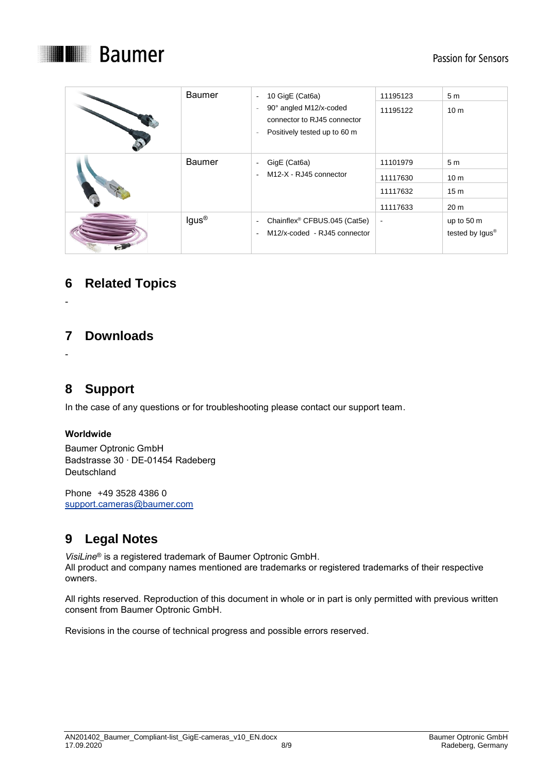

| <b>Baumer</b>     | 10 GigE (Cat6a)<br>$\overline{\phantom{a}}$<br>90° angled M12/x-coded<br>$\overline{\phantom{a}}$<br>connector to RJ45 connector<br>Positively tested up to 60 m<br>$\overline{\phantom{a}}$ | 11195123<br>11195122                         | 5 <sub>m</sub><br>10 <sub>m</sub>                                       |
|-------------------|----------------------------------------------------------------------------------------------------------------------------------------------------------------------------------------------|----------------------------------------------|-------------------------------------------------------------------------|
| <b>Baumer</b>     | GigE (Cat6a)<br>$\overline{\phantom{a}}$<br>M12-X - RJ45 connector<br>$\overline{\phantom{a}}$                                                                                               | 11101979<br>11117630<br>11117632<br>11117633 | 5 <sub>m</sub><br>10 <sub>m</sub><br>15 <sub>m</sub><br>20 <sub>m</sub> |
| lgus <sup>®</sup> | Chainflex <sup>®</sup> CFBUS.045 (Cat5e)<br>$\overline{\phantom{a}}$<br>M12/x-coded - RJ45 connector<br>$\overline{\phantom{a}}$                                                             | $\blacksquare$                               | up to 50 m<br>tested by Igus <sup>®</sup>                               |

# <span id="page-7-0"></span>**6 Related Topics**

**7 Downloads**

<span id="page-7-1"></span>-

<span id="page-7-2"></span>-

**8 Support**

In the case of any questions or for troubleshooting please contact our support team.

#### **Worldwide**

Baumer Optronic GmbH Badstrasse 30 ∙ DE-01454 Radeberg **Deutschland** 

<span id="page-7-3"></span>Phone +49 3528 4386 0 [support.cameras@baumer.com](mailto:support.cameras@baumer.com)

# **9 Legal Notes**

*VisiLine*® is a registered trademark of Baumer Optronic GmbH. All product and company names mentioned are trademarks or registered trademarks of their respective owners.

All rights reserved. Reproduction of this document in whole or in part is only permitted with previous written consent from Baumer Optronic GmbH.

Revisions in the course of technical progress and possible errors reserved.